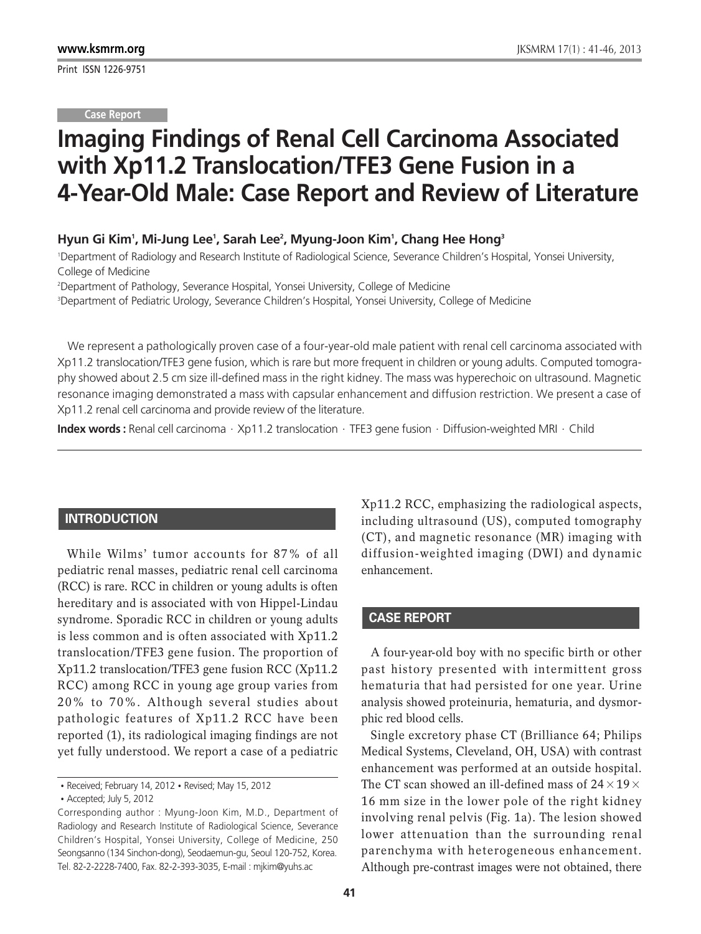Print ISSN 1226-9751

#### **Case Report**

# **Imaging Findings of Renal Cell Carcinoma Associated with Xp11.2 Translocation/TFE3 Gene Fusion in a 4-Year-Old Male: Case Report and Review of Literature**

#### **Hyun Gi Kim1 , Mi-Jung Lee1 , Sarah Lee2 , Myung-Joon Kim1 , Chang Hee Hong3**

1 Department of Radiology and Research Institute of Radiological Science, Severance Children's Hospital, Yonsei University, College of Medicine

2 Department of Pathology, Severance Hospital, Yonsei University, College of Medicine

3 Department of Pediatric Urology, Severance Children's Hospital, Yonsei University, College of Medicine

We represent a pathologically proven case of a four-year-old male patient with renal cell carcinoma associated with Xp11.2 translocation/TFE3 gene fusion, which is rare but more frequent in children or young adults. Computed tomography showed about 2.5 cm size ill-defined mass in the right kidney. The mass was hyperechoic on ultrasound. Magnetic resonance imaging demonstrated a mass with capsular enhancement and diffusion restriction. We present a case of Xp11.2 renal cell carcinoma and provide review of the literature.

**Index words :** Renal cell carcinoma ⋅ Xp11.2 translocation ⋅ TFE3 gene fusion ⋅ Diffusion-weighted MRI ⋅ Child

#### **INTRODUCTION**

While Wilms' tumor accounts for 87% of all pediatric renal masses, pediatric renal cell carcinoma (RCC) is rare. RCC in children or young adults is often hereditary and is associated with von Hippel-Lindau syndrome. Sporadic RCC in children or young adults is less common and is often associated with Xp11.2 translocation/TFE3 gene fusion. The proportion of Xp11.2 translocation/TFE3 gene fusion RCC (Xp11.2 RCC) among RCC in young age group varies from 20% to 70%. Although several studies about pathologic features of Xp11.2 RCC have been reported (1), its radiological imaging findings are not yet fully understood. We report a case of a pediatric

Xp11.2 RCC, emphasizing the radiological aspects, including ultrasound (US), computed tomography (CT), and magnetic resonance (MR) imaging with diffusion-weighted imaging (DWI) and dynamic enhancement.

#### **CASE REPORT**

A four-year-old boy with no specific birth or other past history presented with intermittent gross hematuria that had persisted for one year. Urine analysis showed proteinuria, hematuria, and dysmorphic red blood cells.

Single excretory phase CT (Brilliance 64; Philips Medical Systems, Cleveland, OH, USA) with contrast enhancement was performed at an outside hospital. The CT scan showed an ill-defined mass of  $24 \times 19 \times$ 16 mm size in the lower pole of the right kidney involving renal pelvis (Fig. 1a). The lesion showed lower attenuation than the surrounding renal parenchyma with heterogeneous enhancement. Although pre-contrast images were not obtained, there

<sup>•</sup> Received; February 14, 2012 • Revised; May 15, 2012

<sup>•</sup> Accepted; July 5, 2012

Corresponding author : Myung-Joon Kim, M.D., Department of Radiology and Research Institute of Radiological Science, Severance Children's Hospital, Yonsei University, College of Medicine, 250 Seongsanno (134 Sinchon-dong), Seodaemun-gu, Seoul 120-752, Korea. Tel. 82-2-2228-7400, Fax. 82-2-393-3035, E-mail : mjkim@yuhs.ac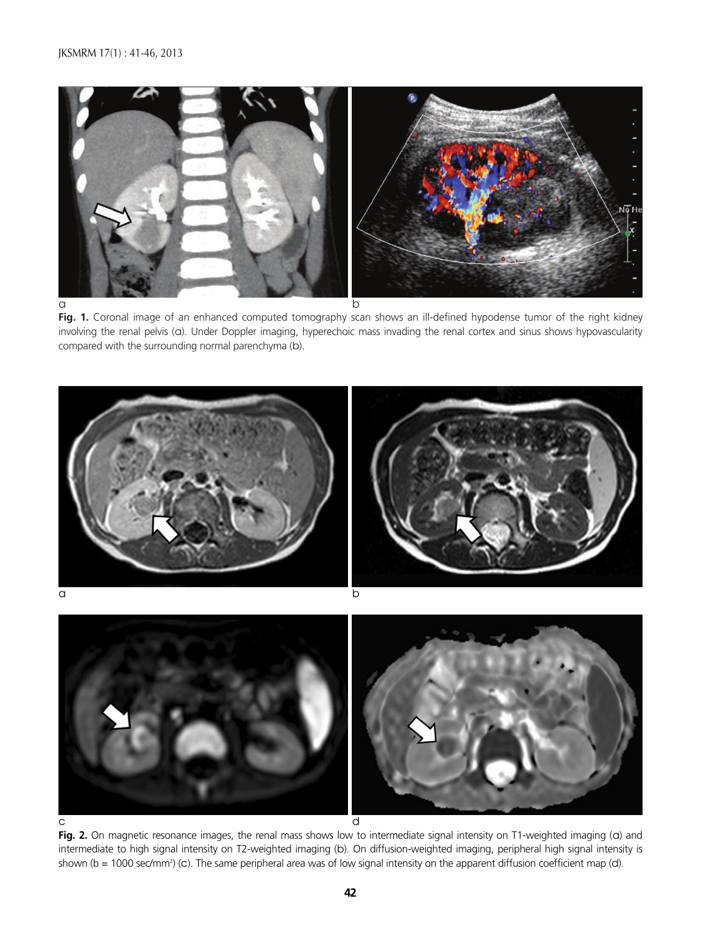

Fig. 1. Coronal image of an enhanced computed tomography scan shows an ill-defined hypodense tumor of the right kidney involving the renal pelvis (**a**). Under Doppler imaging, hyperechoic mass invading the renal cortex and sinus shows hypovascularity compared with the surrounding normal parenchyma (**b**).



**Fig. 2.** On magnetic resonance images, the renal mass shows low to intermediate signal intensity on T1-weighted imaging (**a**) and intermediate to high signal intensity on T2-weighted imaging (**b**). On diffusion-weighted imaging, peripheral high signal intensity is shown (b = 1000 sec/mm2 ) (**c**). The same peripheral area was of low signal intensity on the apparent diffusion coefficient map (**d**).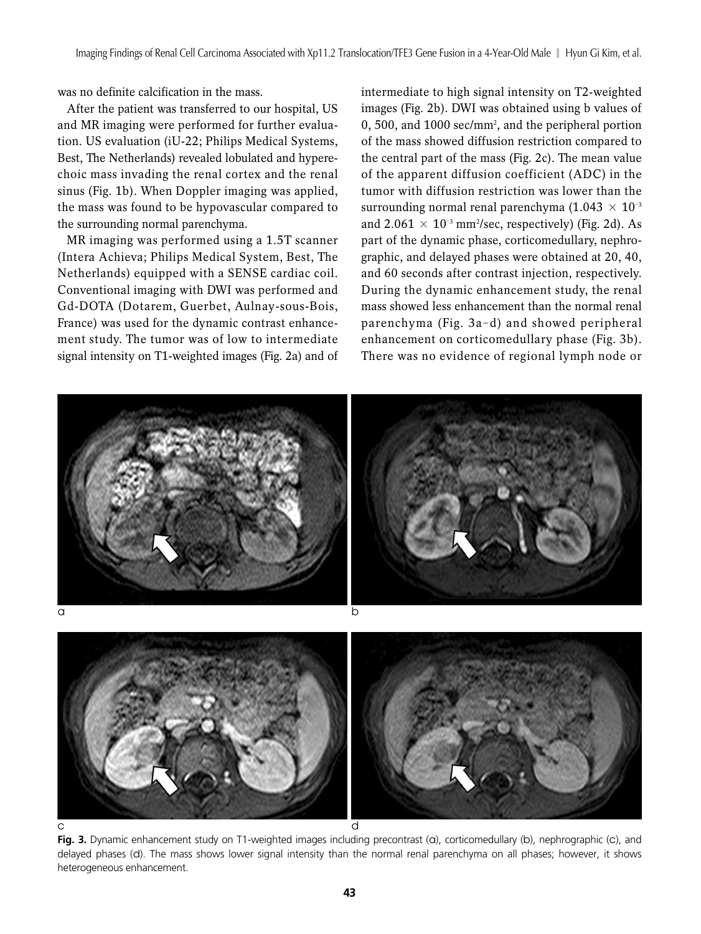was no definite calcification in the mass.

After the patient was transferred to our hospital, US and MR imaging were performed for further evaluation. US evaluation (iU-22; Philips Medical Systems, Best, The Netherlands) revealed lobulated and hyperechoic mass invading the renal cortex and the renal sinus (Fig. 1b). When Doppler imaging was applied, the mass was found to be hypovascular compared to the surrounding normal parenchyma.

MR imaging was performed using a 1.5T scanner (Intera Achieva; Philips Medical System, Best, The Netherlands) equipped with a SENSE cardiac coil. Conventional imaging with DWI was performed and Gd-DOTA (Dotarem, Guerbet, Aulnay-sous-Bois, France) was used for the dynamic contrast enhancement study. The tumor was of low to intermediate signal intensity on T1-weighted images (Fig. 2a) and of intermediate to high signal intensity on T2-weighted images (Fig. 2b). DWI was obtained using b values of  $0, 500$ , and  $1000$  sec/mm<sup>2</sup>, and the peripheral portion of the mass showed diffusion restriction compared to the central part of the mass (Fig. 2c). The mean value of the apparent diffusion coefficient (ADC) in the tumor with diffusion restriction was lower than the surrounding normal renal parenchyma  $(1.043 \times 10^{-3})$ and 2.06 $1\times10^{\texttt{-3}}$  mm²/sec, respectively) (Fig. 2d). As part of the dynamic phase, corticomedullary, nephrographic, and delayed phases were obtained at 20, 40, and 60 seconds after contrast injection, respectively. During the dynamic enhancement study, the renal mass showed less enhancement than the normal renal parenchyma (Fig. 3a-d) and showed peripheral enhancement on corticomedullary phase (Fig. 3b). There was no evidence of regional lymph node or



**Fig. 3.** Dynamic enhancement study on T1-weighted images including precontrast (**a**), corticomedullary (**b**), nephrographic (**c**), and delayed phases (**d**). The mass shows lower signal intensity than the normal renal parenchyma on all phases; however, it shows heterogeneous enhancement.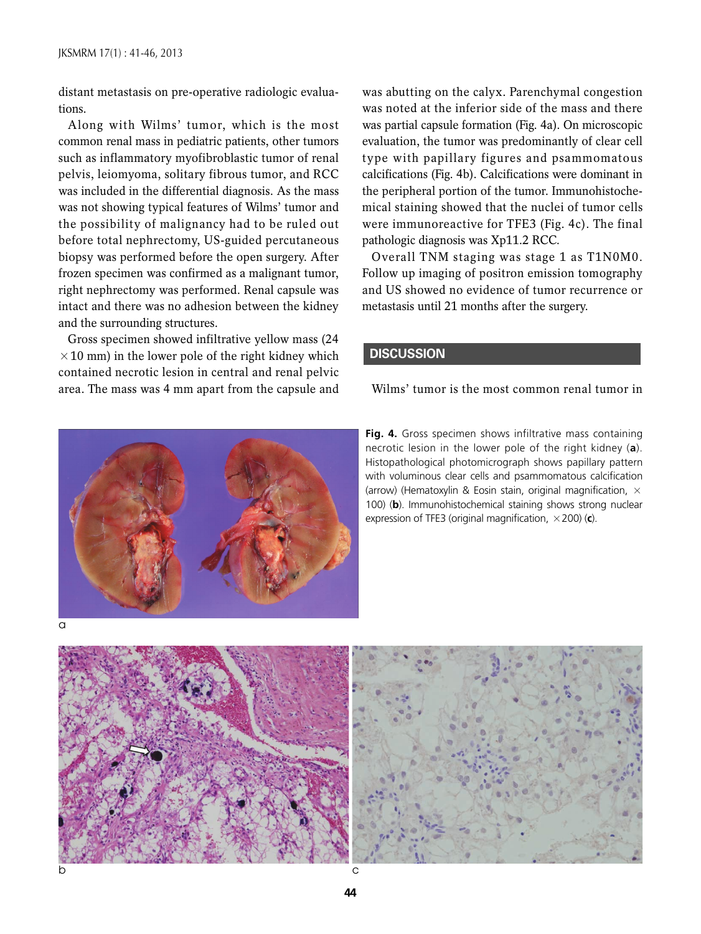distant metastasis on pre-operative radiologic evaluations.

Along with Wilms' tumor, which is the most common renal mass in pediatric patients, other tumors such as inflammatory myofibroblastic tumor of renal pelvis, leiomyoma, solitary fibrous tumor, and RCC was included in the differential diagnosis. As the mass was not showing typical features of Wilms' tumor and the possibility of malignancy had to be ruled out before total nephrectomy, US-guided percutaneous biopsy was performed before the open surgery. After frozen specimen was confirmed as a malignant tumor, right nephrectomy was performed. Renal capsule was intact and there was no adhesion between the kidney and the surrounding structures.

Gross specimen showed infiltrative yellow mass (24  $\times$  10 mm) in the lower pole of the right kidney which contained necrotic lesion in central and renal pelvic area. The mass was 4 mm apart from the capsule and was abutting on the calyx. Parenchymal congestion was noted at the inferior side of the mass and there was partial capsule formation (Fig. 4a). On microscopic evaluation, the tumor was predominantly of clear cell type with papillary figures and psammomatous calcifications (Fig. 4b). Calcifications were dominant in the peripheral portion of the tumor. Immunohistochemical staining showed that the nuclei of tumor cells were immunoreactive for TFE3 (Fig. 4c). The final pathologic diagnosis was Xp11.2 RCC.

Overall TNM staging was stage 1 as T1N0M0. Follow up imaging of positron emission tomography and US showed no evidence of tumor recurrence or metastasis until 21 months after the surgery.

#### **DISCUSSION**

#### Wilms' tumor is the most common renal tumor in



**Fig. 4.** Gross specimen shows infiltrative mass containing necrotic lesion in the lower pole of the right kidney (**a**). Histopathological photomicrograph shows papillary pattern with voluminous clear cells and psammomatous calcification (arrow) (Hematoxylin & Eosin stain, original magnification,  $\times$ 100) (**b**). Immunohistochemical staining shows strong nuclear expression of TFE3 (original magnification, ×200) (**c**).



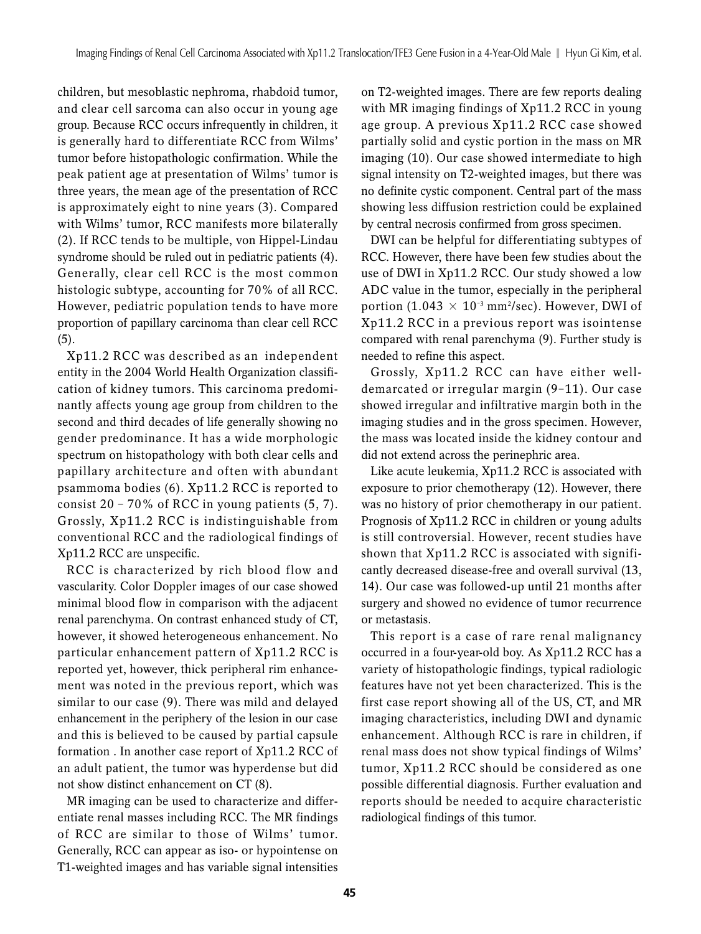children, but mesoblastic nephroma, rhabdoid tumor, and clear cell sarcoma can also occur in young age group. Because RCC occurs infrequently in children, it is generally hard to differentiate RCC from Wilms' tumor before histopathologic confirmation. While the peak patient age at presentation of Wilms' tumor is three years, the mean age of the presentation of RCC is approximately eight to nine years (3). Compared with Wilms' tumor, RCC manifests more bilaterally (2). If RCC tends to be multiple, von Hippel-Lindau syndrome should be ruled out in pediatric patients (4). Generally, clear cell RCC is the most common histologic subtype, accounting for 70% of all RCC. However, pediatric population tends to have more proportion of papillary carcinoma than clear cell RCC (5).

Xp11.2 RCC was described as an independent entity in the 2004 World Health Organization classification of kidney tumors. This carcinoma predominantly affects young age group from children to the second and third decades of life generally showing no gender predominance. It has a wide morphologic spectrum on histopathology with both clear cells and papillary architecture and often with abundant psammoma bodies (6). Xp11.2 RCC is reported to consist  $20 - 70\%$  of RCC in young patients  $(5, 7)$ . Grossly, Xp11.2 RCC is indistinguishable from conventional RCC and the radiological findings of Xp11.2 RCC are unspecific.

RCC is characterized by rich blood flow and vascularity. Color Doppler images of our case showed minimal blood flow in comparison with the adjacent renal parenchyma. On contrast enhanced study of CT, however, it showed heterogeneous enhancement. No particular enhancement pattern of Xp11.2 RCC is reported yet, however, thick peripheral rim enhancement was noted in the previous report, which was similar to our case (9). There was mild and delayed enhancement in the periphery of the lesion in our case and this is believed to be caused by partial capsule formation . In another case report of Xp11.2 RCC of an adult patient, the tumor was hyperdense but did not show distinct enhancement on CT (8).

MR imaging can be used to characterize and differentiate renal masses including RCC. The MR findings of RCC are similar to those of Wilms' tumor. Generally, RCC can appear as iso- or hypointense on T1-weighted images and has variable signal intensities

on T2-weighted images. There are few reports dealing with MR imaging findings of Xp11.2 RCC in young age group. A previous Xp11.2 RCC case showed partially solid and cystic portion in the mass on MR imaging (10). Our case showed intermediate to high signal intensity on T2-weighted images, but there was no definite cystic component. Central part of the mass showing less diffusion restriction could be explained by central necrosis confirmed from gross specimen.

DWI can be helpful for differentiating subtypes of RCC. However, there have been few studies about the use of DWI in Xp11.2 RCC. Our study showed a low ADC value in the tumor, especially in the peripheral portion (1.043  $\,\times\,10^{\texttt{-3}}$  mm²/sec). However, DWI of Xp11.2 RCC in a previous report was isointense compared with renal parenchyma (9). Further study is needed to refine this aspect.

Grossly, Xp11.2 RCC can have either welldemarcated or irregular margin (9-11). Our case showed irregular and infiltrative margin both in the imaging studies and in the gross specimen. However, the mass was located inside the kidney contour and did not extend across the perinephric area.

Like acute leukemia, Xp11.2 RCC is associated with exposure to prior chemotherapy (12). However, there was no history of prior chemotherapy in our patient. Prognosis of Xp11.2 RCC in children or young adults is still controversial. However, recent studies have shown that Xp11.2 RCC is associated with significantly decreased disease-free and overall survival (13, 14). Our case was followed-up until 21 months after surgery and showed no evidence of tumor recurrence or metastasis.

This report is a case of rare renal malignancy occurred in a four-year-old boy. As Xp11.2 RCC has a variety of histopathologic findings, typical radiologic features have not yet been characterized. This is the first case report showing all of the US, CT, and MR imaging characteristics, including DWI and dynamic enhancement. Although RCC is rare in children, if renal mass does not show typical findings of Wilms' tumor, Xp11.2 RCC should be considered as one possible differential diagnosis. Further evaluation and reports should be needed to acquire characteristic radiological findings of this tumor.